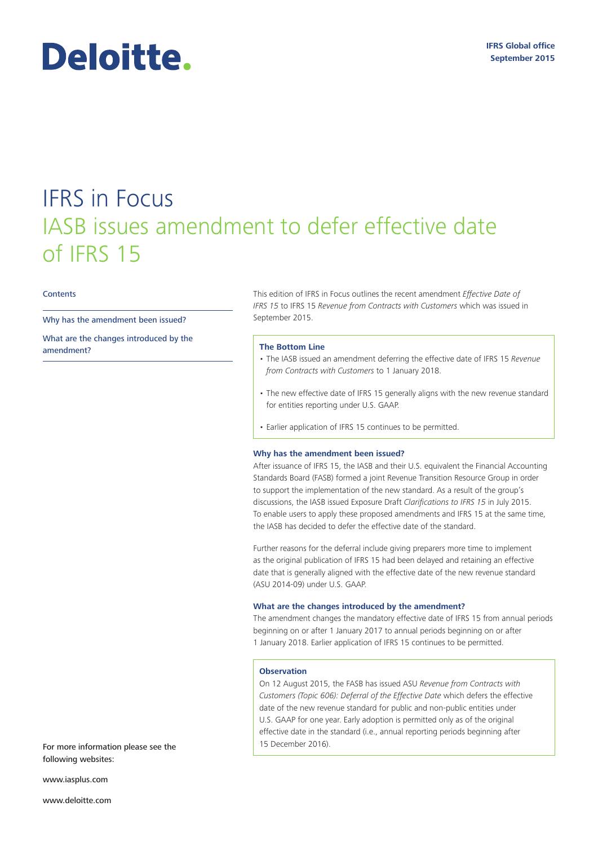### **IFRS Global office September 2015**

# Deloitte.

## IFRS in Focus IASB issues amendment to defer effective date of IFRS 15

#### **Contents**

Why has the amendment been issued?

What are the changes introduced by the amendment?

This edition of IFRS in Focus outlines the recent amendment *Effective Date of IFRS 15* to IFRS 15 *Revenue from Contracts with Customers* which was issued in September 2015.

#### **The Bottom Line**

- The IASB issued an amendment deferring the effective date of IFRS 15 *Revenue from Contracts with Customers* to 1 January 2018.
- The new effective date of IFRS 15 generally aligns with the new revenue standard for entities reporting under U.S. GAAP.
- Earlier application of IFRS 15 continues to be permitted.

#### **Why has the amendment been issued?**

After issuance of IFRS 15, the IASB and their U.S. equivalent the Financial Accounting Standards Board (FASB) formed a joint Revenue Transition Resource Group in order to support the implementation of the new standard. As a result of the group's discussions, the IASB issued Exposure Draft *Clarifications to IFRS 15* in July 2015. To enable users to apply these proposed amendments and IFRS 15 at the same time, the IASB has decided to defer the effective date of the standard.

Further reasons for the deferral include giving preparers more time to implement as the original publication of IFRS 15 had been delayed and retaining an effective date that is generally aligned with the effective date of the new revenue standard (ASU 2014-09) under U.S. GAAP.

#### **What are the changes introduced by the amendment?**

The amendment changes the mandatory effective date of IFRS 15 from annual periods beginning on or after 1 January 2017 to annual periods beginning on or after 1 January 2018. Earlier application of IFRS 15 continues to be permitted.

#### **Observation**

On 12 August 2015, the FASB has issued ASU *Revenue from Contracts with Customers (Topic 606): Deferral of the Effective Date* which defers the effective date of the new revenue standard for public and non-public entities under U.S. GAAP for one year. Early adoption is permitted only as of the original effective date in the standard (i.e., annual reporting periods beginning after 15 December 2016).

For more information please see the following websites:

www.iasplus.com